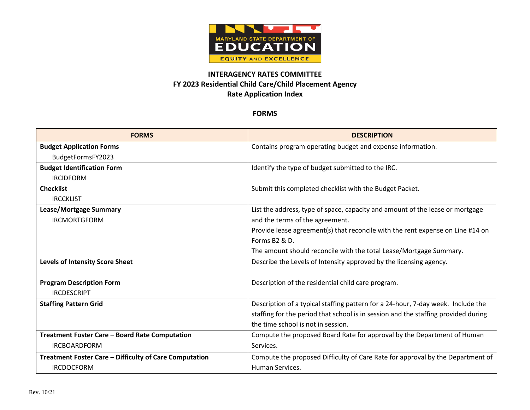

## **INTERAGENCY RATES COMMITTEE FY 2023 Residential Child Care/Child Placement Agency Rate Application Index**

## **FORMS**

| <b>FORMS</b>                                           | <b>DESCRIPTION</b>                                                                 |
|--------------------------------------------------------|------------------------------------------------------------------------------------|
| <b>Budget Application Forms</b>                        | Contains program operating budget and expense information.                         |
| BudgetFormsFY2023                                      |                                                                                    |
| <b>Budget Identification Form</b>                      | Identify the type of budget submitted to the IRC.                                  |
| <b>IRCIDFORM</b>                                       |                                                                                    |
| <b>Checklist</b>                                       | Submit this completed checklist with the Budget Packet.                            |
| <b>IRCCKLIST</b>                                       |                                                                                    |
| Lease/Mortgage Summary                                 | List the address, type of space, capacity and amount of the lease or mortgage      |
| <b>IRCMORTGFORM</b>                                    | and the terms of the agreement.                                                    |
|                                                        | Provide lease agreement(s) that reconcile with the rent expense on Line #14 on     |
|                                                        | Forms B <sub>2</sub> & D.                                                          |
|                                                        | The amount should reconcile with the total Lease/Mortgage Summary.                 |
| <b>Levels of Intensity Score Sheet</b>                 | Describe the Levels of Intensity approved by the licensing agency.                 |
|                                                        |                                                                                    |
| <b>Program Description Form</b>                        | Description of the residential child care program.                                 |
| <b>IRCDESCRIPT</b>                                     |                                                                                    |
| <b>Staffing Pattern Grid</b>                           | Description of a typical staffing pattern for a 24-hour, 7-day week. Include the   |
|                                                        | staffing for the period that school is in session and the staffing provided during |
|                                                        | the time school is not in session.                                                 |
| Treatment Foster Care - Board Rate Computation         | Compute the proposed Board Rate for approval by the Department of Human            |
| <b>IRCBOARDFORM</b>                                    | Services.                                                                          |
| Treatment Foster Care - Difficulty of Care Computation | Compute the proposed Difficulty of Care Rate for approval by the Department of     |
| <b>IRCDOCFORM</b>                                      | Human Services.                                                                    |